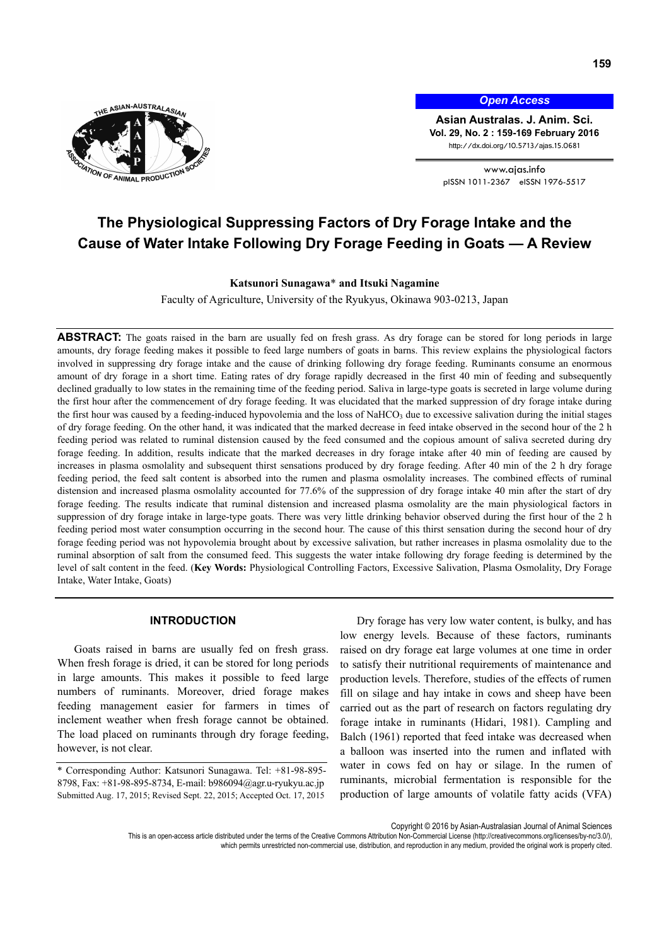

*Open Access*

**Asian Australas. J. Anim. Sci. Vol. 29, No. 2 : 159-169 February 2016**  http://dx.doi.org/10.5713/ajas.15.0681

www.ajas.info pISSN 1011-2367 eISSN 1976-5517

# **The Physiological Suppressing Factors of Dry Forage Intake and the Cause of Water Intake Following Dry Forage Feeding in Goats — A Review**

#### **Katsunori Sunagawa**\* **and Itsuki Nagamine**

Faculty of Agriculture, University of the Ryukyus, Okinawa 903-0213, Japan

**ABSTRACT:** The goats raised in the barn are usually fed on fresh grass. As dry forage can be stored for long periods in large amounts, dry forage feeding makes it possible to feed large numbers of goats in barns. This review explains the physiological factors involved in suppressing dry forage intake and the cause of drinking following dry forage feeding. Ruminants consume an enormous amount of dry forage in a short time. Eating rates of dry forage rapidly decreased in the first 40 min of feeding and subsequently declined gradually to low states in the remaining time of the feeding period. Saliva in large-type goats is secreted in large volume during the first hour after the commencement of dry forage feeding. It was elucidated that the marked suppression of dry forage intake during the first hour was caused by a feeding-induced hypovolemia and the loss of NaHCO<sub>3</sub> due to excessive salivation during the initial stages of dry forage feeding. On the other hand, it was indicated that the marked decrease in feed intake observed in the second hour of the 2 h feeding period was related to ruminal distension caused by the feed consumed and the copious amount of saliva secreted during dry forage feeding. In addition, results indicate that the marked decreases in dry forage intake after 40 min of feeding are caused by increases in plasma osmolality and subsequent thirst sensations produced by dry forage feeding. After 40 min of the 2 h dry forage feeding period, the feed salt content is absorbed into the rumen and plasma osmolality increases. The combined effects of ruminal distension and increased plasma osmolality accounted for 77.6% of the suppression of dry forage intake 40 min after the start of dry forage feeding. The results indicate that ruminal distension and increased plasma osmolality are the main physiological factors in suppression of dry forage intake in large-type goats. There was very little drinking behavior observed during the first hour of the 2 h feeding period most water consumption occurring in the second hour. The cause of this thirst sensation during the second hour of dry forage feeding period was not hypovolemia brought about by excessive salivation, but rather increases in plasma osmolality due to the ruminal absorption of salt from the consumed feed. This suggests the water intake following dry forage feeding is determined by the level of salt content in the feed. (**Key Words:** Physiological Controlling Factors, Excessive Salivation, Plasma Osmolality, Dry Forage Intake, Water Intake, Goats)

#### **INTRODUCTION**

Goats raised in barns are usually fed on fresh grass. When fresh forage is dried, it can be stored for long periods in large amounts. This makes it possible to feed large numbers of ruminants. Moreover, dried forage makes feeding management easier for farmers in times of inclement weather when fresh forage cannot be obtained. The load placed on ruminants through dry forage feeding, however, is not clear.

\* Corresponding Author: Katsunori Sunagawa. Tel: +81-98-895- 8798, Fax: +81-98-895-8734, E-mail: b986094@agr.u-ryukyu.ac.jp Submitted Aug. 17, 2015; Revised Sept. 22, 2015; Accepted Oct. 17, 2015

Dry forage has very low water content, is bulky, and has low energy levels. Because of these factors, ruminants raised on dry forage eat large volumes at one time in order to satisfy their nutritional requirements of maintenance and production levels. Therefore, studies of the effects of rumen fill on silage and hay intake in cows and sheep have been carried out as the part of research on factors regulating dry forage intake in ruminants (Hidari, 1981). Campling and Balch (1961) reported that feed intake was decreased when a balloon was inserted into the rumen and inflated with water in cows fed on hay or silage. In the rumen of ruminants, microbial fermentation is responsible for the production of large amounts of volatile fatty acids (VFA)

Copyright © 2016 by Asian-Australasian Journal of Animal Sciences

This is an open-access article distributed under the terms of the Creative Commons Attribution Non-Commercial License (http://creativecommons.org/licenses/by-nc/3.0/), which permits unrestricted non-commercial use, distribution, and reproduction in any medium, provided the original work is properly cited.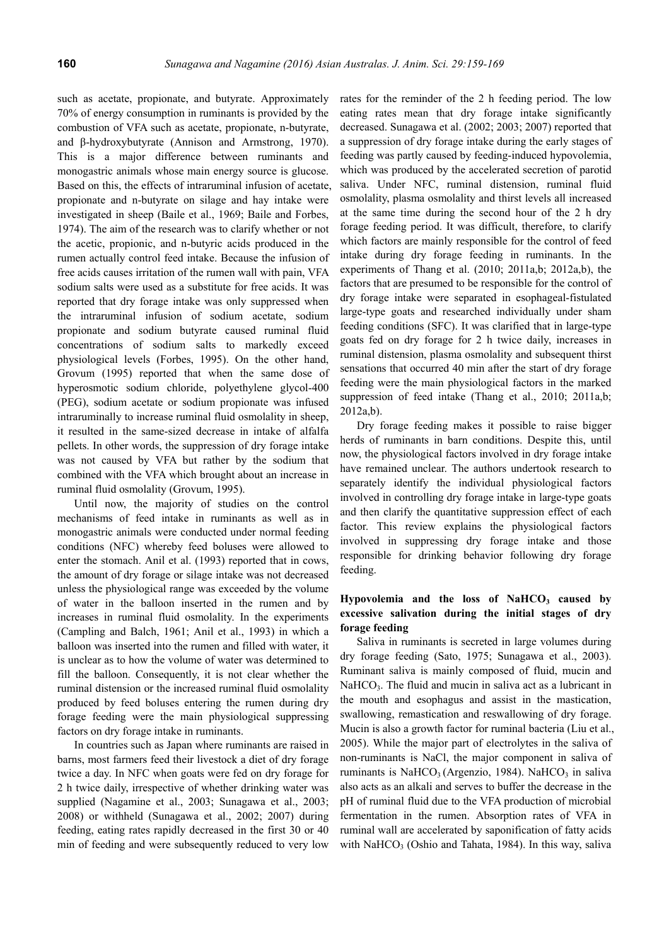such as acetate, propionate, and butyrate. Approximately 70% of energy consumption in ruminants is provided by the combustion of VFA such as acetate, propionate, n-butyrate, and β-hydroxybutyrate (Annison and Armstrong, 1970). This is a major difference between ruminants and monogastric animals whose main energy source is glucose. Based on this, the effects of intraruminal infusion of acetate, propionate and n-butyrate on silage and hay intake were investigated in sheep (Baile et al., 1969; Baile and Forbes, 1974). The aim of the research was to clarify whether or not the acetic, propionic, and n-butyric acids produced in the rumen actually control feed intake. Because the infusion of free acids causes irritation of the rumen wall with pain, VFA sodium salts were used as a substitute for free acids. It was reported that dry forage intake was only suppressed when the intraruminal infusion of sodium acetate, sodium propionate and sodium butyrate caused ruminal fluid concentrations of sodium salts to markedly exceed physiological levels (Forbes, 1995). On the other hand, Grovum (1995) reported that when the same dose of hyperosmotic sodium chloride, polyethylene glycol-400 (PEG), sodium acetate or sodium propionate was infused intraruminally to increase ruminal fluid osmolality in sheep, it resulted in the same-sized decrease in intake of alfalfa pellets. In other words, the suppression of dry forage intake was not caused by VFA but rather by the sodium that combined with the VFA which brought about an increase in ruminal fluid osmolality (Grovum, 1995).

Until now, the majority of studies on the control mechanisms of feed intake in ruminants as well as in monogastric animals were conducted under normal feeding conditions (NFC) whereby feed boluses were allowed to enter the stomach. Anil et al. (1993) reported that in cows, the amount of dry forage or silage intake was not decreased unless the physiological range was exceeded by the volume of water in the balloon inserted in the rumen and by increases in ruminal fluid osmolality. In the experiments (Campling and Balch, 1961; Anil et al., 1993) in which a balloon was inserted into the rumen and filled with water, it is unclear as to how the volume of water was determined to fill the balloon. Consequently, it is not clear whether the ruminal distension or the increased ruminal fluid osmolality produced by feed boluses entering the rumen during dry forage feeding were the main physiological suppressing factors on dry forage intake in ruminants.

In countries such as Japan where ruminants are raised in barns, most farmers feed their livestock a diet of dry forage twice a day. In NFC when goats were fed on dry forage for 2 h twice daily, irrespective of whether drinking water was supplied (Nagamine et al., 2003; Sunagawa et al., 2003; 2008) or withheld (Sunagawa et al., 2002; 2007) during feeding, eating rates rapidly decreased in the first 30 or 40 min of feeding and were subsequently reduced to very low rates for the reminder of the 2 h feeding period. The low eating rates mean that dry forage intake significantly decreased. Sunagawa et al. (2002; 2003; 2007) reported that a suppression of dry forage intake during the early stages of feeding was partly caused by feeding-induced hypovolemia, which was produced by the accelerated secretion of parotid saliva. Under NFC, ruminal distension, ruminal fluid osmolality, plasma osmolality and thirst levels all increased at the same time during the second hour of the 2 h dry forage feeding period. It was difficult, therefore, to clarify which factors are mainly responsible for the control of feed intake during dry forage feeding in ruminants. In the experiments of Thang et al. (2010; 2011a,b; 2012a,b), the factors that are presumed to be responsible for the control of dry forage intake were separated in esophageal-fistulated large-type goats and researched individually under sham feeding conditions (SFC). It was clarified that in large-type goats fed on dry forage for 2 h twice daily, increases in ruminal distension, plasma osmolality and subsequent thirst sensations that occurred 40 min after the start of dry forage feeding were the main physiological factors in the marked suppression of feed intake (Thang et al., 2010; 2011a,b; 2012a,b).

Dry forage feeding makes it possible to raise bigger herds of ruminants in barn conditions. Despite this, until now, the physiological factors involved in dry forage intake have remained unclear. The authors undertook research to separately identify the individual physiological factors involved in controlling dry forage intake in large-type goats and then clarify the quantitative suppression effect of each factor. This review explains the physiological factors involved in suppressing dry forage intake and those responsible for drinking behavior following dry forage feeding.

# Hypovolemia and the loss of NaHCO<sub>3</sub> caused by **excessive salivation during the initial stages of dry forage feeding**

Saliva in ruminants is secreted in large volumes during dry forage feeding (Sato, 1975; Sunagawa et al., 2003). Ruminant saliva is mainly composed of fluid, mucin and  $NaHCO<sub>3</sub>$ . The fluid and mucin in saliva act as a lubricant in the mouth and esophagus and assist in the mastication, swallowing, remastication and reswallowing of dry forage. Mucin is also a growth factor for ruminal bacteria (Liu et al., 2005). While the major part of electrolytes in the saliva of non-ruminants is NaCl, the major component in saliva of ruminants is NaHCO<sub>3</sub> (Argenzio, 1984). NaHCO<sub>3</sub> in saliva also acts as an alkali and serves to buffer the decrease in the pH of ruminal fluid due to the VFA production of microbial fermentation in the rumen. Absorption rates of VFA in ruminal wall are accelerated by saponification of fatty acids with NaHCO<sub>3</sub> (Oshio and Tahata, 1984). In this way, saliva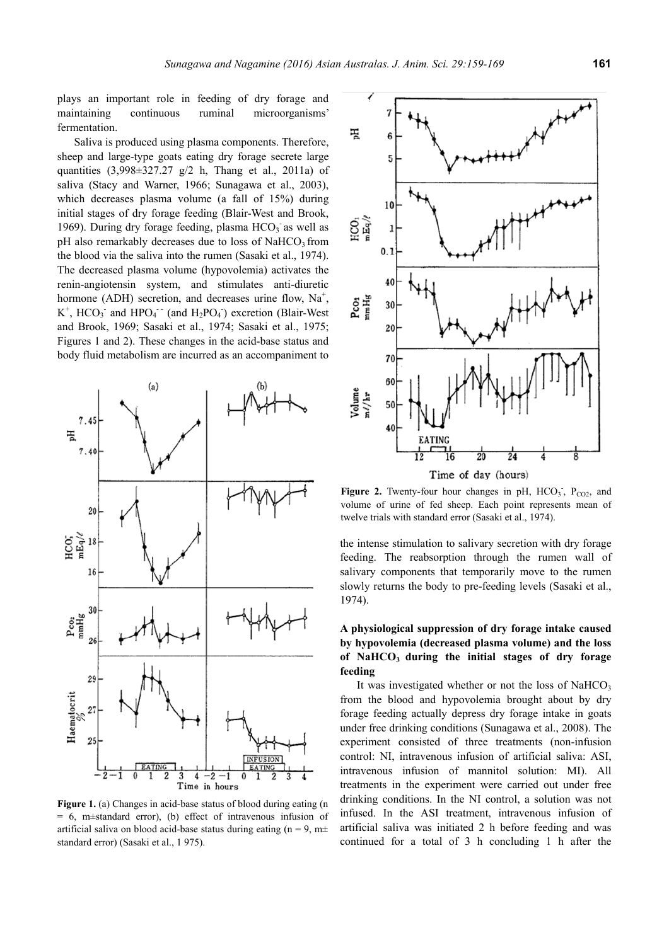plays an important role in feeding of dry forage and maintaining continuous ruminal microorganisms' fermentation.

Saliva is produced using plasma components. Therefore, sheep and large-type goats eating dry forage secrete large quantities  $(3,998\pm327.27 \text{ g}/2 \text{ h}$ , Thang et al., 2011a) of saliva (Stacy and Warner, 1966; Sunagawa et al., 2003), which decreases plasma volume (a fall of 15%) during initial stages of dry forage feeding (Blair-West and Brook, 1969). During dry forage feeding, plasma  $HCO<sub>3</sub>$  as well as  $pH$  also remarkably decreases due to loss of NaHCO<sub>3</sub> from the blood via the saliva into the rumen (Sasaki et al., 1974). The decreased plasma volume (hypovolemia) activates the renin-angiotensin system, and stimulates anti-diuretic hormone (ADH) secretion, and decreases urine flow,  $Na<sup>+</sup>$ ,  $K^+$ , HCO<sub>3</sub> and HPO<sub>4</sub><sup>--</sup> (and H<sub>2</sub>PO<sub>4</sub>) excretion (Blair-West and Brook, 1969; Sasaki et al., 1974; Sasaki et al., 1975; Figures 1 and 2). These changes in the acid-base status and body fluid metabolism are incurred as an accompaniment to



**Figure 1.** (a) Changes in acid-base status of blood during eating (n = 6, m±standard error), (b) effect of intravenous infusion of artificial saliva on blood acid-base status during eating (n = 9, m $\pm$ standard error) (Sasaki et al., 1 975).



Figure 2. Twenty-four hour changes in pH,  $HCO<sub>3</sub>$ ,  $P<sub>CO2</sub>$ , and volume of urine of fed sheep. Each point represents mean of twelve trials with standard error (Sasaki et al., 1974).

the intense stimulation to salivary secretion with dry forage feeding. The reabsorption through the rumen wall of salivary components that temporarily move to the rumen slowly returns the body to pre-feeding levels (Sasaki et al., 1974).

# **A physiological suppression of dry forage intake caused by hypovolemia (decreased plasma volume) and the loss**  of NaHCO<sub>3</sub> during the initial stages of dry forage **feeding**

It was investigated whether or not the loss of NaHCO<sub>3</sub> from the blood and hypovolemia brought about by dry forage feeding actually depress dry forage intake in goats under free drinking conditions (Sunagawa et al., 2008). The experiment consisted of three treatments (non-infusion control: NI, intravenous infusion of artificial saliva: ASI, intravenous infusion of mannitol solution: MI). All treatments in the experiment were carried out under free drinking conditions. In the NI control, a solution was not infused. In the ASI treatment, intravenous infusion of artificial saliva was initiated 2 h before feeding and was continued for a total of 3 h concluding 1 h after the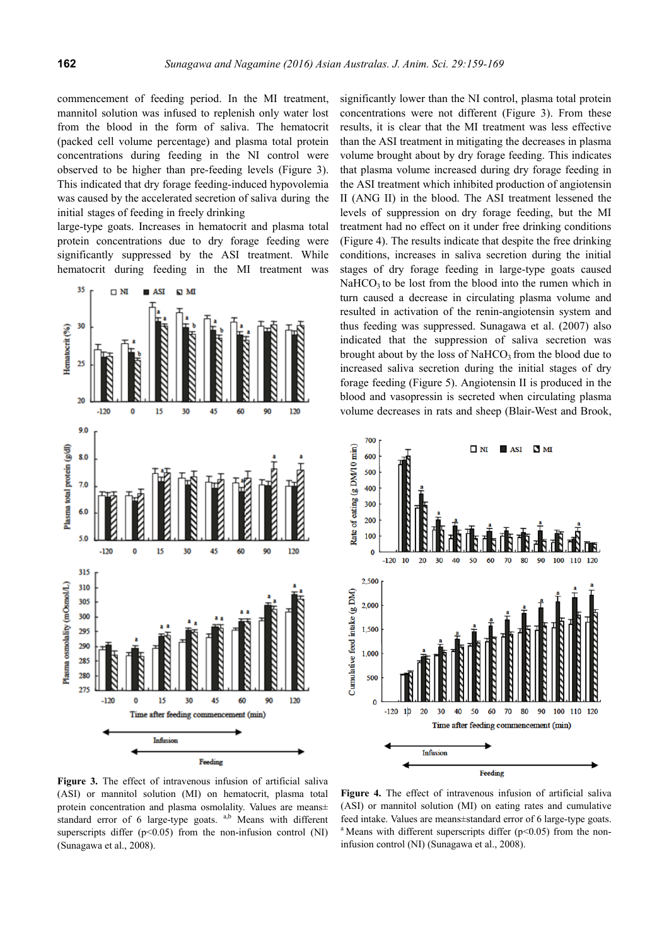commencement of feeding period. In the MI treatment, mannitol solution was infused to replenish only water lost from the blood in the form of saliva. The hematocrit (packed cell volume percentage) and plasma total protein concentrations during feeding in the NI control were observed to be higher than pre-feeding levels (Figure 3). This indicated that dry forage feeding-induced hypovolemia was caused by the accelerated secretion of saliva during the initial stages of feeding in freely drinking

large-type goats. Increases in hematocrit and plasma total protein concentrations due to dry forage feeding were significantly suppressed by the ASI treatment. While hematocrit during feeding in the MI treatment was



significantly lower than the NI control, plasma total protein concentrations were not different (Figure 3). From these results, it is clear that the MI treatment was less effective than the ASI treatment in mitigating the decreases in plasma volume brought about by dry forage feeding. This indicates that plasma volume increased during dry forage feeding in the ASI treatment which inhibited production of angiotensin II (ANG II) in the blood. The ASI treatment lessened the levels of suppression on dry forage feeding, but the MI treatment had no effect on it under free drinking conditions (Figure 4). The results indicate that despite the free drinking conditions, increases in saliva secretion during the initial stages of dry forage feeding in large-type goats caused  $NaHCO<sub>3</sub>$  to be lost from the blood into the rumen which in turn caused a decrease in circulating plasma volume and resulted in activation of the renin-angiotensin system and thus feeding was suppressed. Sunagawa et al. (2007) also indicated that the suppression of saliva secretion was brought about by the loss of NaHCO<sub>3</sub> from the blood due to increased saliva secretion during the initial stages of dry forage feeding (Figure 5). Angiotensin II is produced in the blood and vasopressin is secreted when circulating plasma volume decreases in rats and sheep (Blair-West and Brook,



**Figure 3.** The effect of intravenous infusion of artificial saliva (ASI) or mannitol solution (MI) on hematocrit, plasma total protein concentration and plasma osmolality. Values are means± standard error of 6 large-type goats. <sup>a,b</sup> Means with different superscripts differ  $(p<0.05)$  from the non-infusion control (NI) (Sunagawa et al., 2008).

**Figure 4.** The effect of intravenous infusion of artificial saliva (ASI) or mannitol solution (MI) on eating rates and cumulative feed intake. Values are means±standard error of 6 large-type goats. <sup>a</sup> Means with different superscripts differ ( $p$ <0.05) from the noninfusion control (NI) (Sunagawa et al., 2008).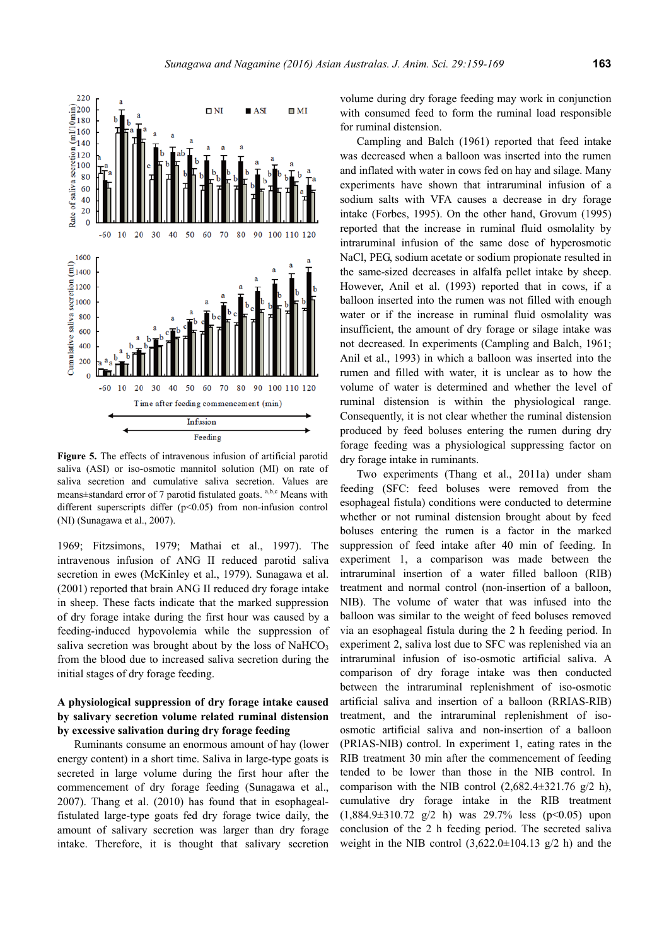

**Figure 5.** The effects of intravenous infusion of artificial parotid saliva (ASI) or iso-osmotic mannitol solution (MI) on rate of saliva secretion and cumulative saliva secretion. Values are means $\pm$ standard error of 7 parotid fistulated goats.  $a,b,c$  Means with different superscripts differ (p<0.05) from non-infusion control (NI) (Sunagawa et al., 2007).

1969; Fitzsimons, 1979; Mathai et al., 1997). The intravenous infusion of ANG II reduced parotid saliva secretion in ewes (McKinley et al., 1979). Sunagawa et al. (2001) reported that brain ANG II reduced dry forage intake in sheep. These facts indicate that the marked suppression of dry forage intake during the first hour was caused by a feeding-induced hypovolemia while the suppression of saliva secretion was brought about by the loss of NaHCO<sub>3</sub> from the blood due to increased saliva secretion during the initial stages of dry forage feeding.

# **A physiological suppression of dry forage intake caused by salivary secretion volume related ruminal distension by excessive salivation during dry forage feeding**

Ruminants consume an enormous amount of hay (lower energy content) in a short time. Saliva in large-type goats is secreted in large volume during the first hour after the commencement of dry forage feeding (Sunagawa et al., 2007). Thang et al. (2010) has found that in esophagealfistulated large-type goats fed dry forage twice daily, the amount of salivary secretion was larger than dry forage intake. Therefore, it is thought that salivary secretion volume during dry forage feeding may work in conjunction with consumed feed to form the ruminal load responsible for ruminal distension.

Campling and Balch (1961) reported that feed intake was decreased when a balloon was inserted into the rumen and inflated with water in cows fed on hay and silage. Many experiments have shown that intraruminal infusion of a sodium salts with VFA causes a decrease in dry forage intake (Forbes, 1995). On the other hand, Grovum (1995) reported that the increase in ruminal fluid osmolality by intraruminal infusion of the same dose of hyperosmotic NaCl, PEG, sodium acetate or sodium propionate resulted in the same-sized decreases in alfalfa pellet intake by sheep. However, Anil et al. (1993) reported that in cows, if a balloon inserted into the rumen was not filled with enough water or if the increase in ruminal fluid osmolality was insufficient, the amount of dry forage or silage intake was not decreased. In experiments (Campling and Balch, 1961; Anil et al., 1993) in which a balloon was inserted into the rumen and filled with water, it is unclear as to how the volume of water is determined and whether the level of ruminal distension is within the physiological range. Consequently, it is not clear whether the ruminal distension produced by feed boluses entering the rumen during dry forage feeding was a physiological suppressing factor on dry forage intake in ruminants.

Two experiments (Thang et al., 2011a) under sham feeding (SFC: feed boluses were removed from the esophageal fistula) conditions were conducted to determine whether or not ruminal distension brought about by feed boluses entering the rumen is a factor in the marked suppression of feed intake after 40 min of feeding. In experiment 1, a comparison was made between the intraruminal insertion of a water filled balloon (RIB) treatment and normal control (non-insertion of a balloon, NIB). The volume of water that was infused into the balloon was similar to the weight of feed boluses removed via an esophageal fistula during the 2 h feeding period. In experiment 2, saliva lost due to SFC was replenished via an intraruminal infusion of iso-osmotic artificial saliva. A comparison of dry forage intake was then conducted between the intraruminal replenishment of iso-osmotic artificial saliva and insertion of a balloon (RRIAS-RIB) treatment, and the intraruminal replenishment of isoosmotic artificial saliva and non-insertion of a balloon (PRIAS-NIB) control. In experiment 1, eating rates in the RIB treatment 30 min after the commencement of feeding tended to be lower than those in the NIB control. In comparison with the NIB control  $(2,682.4\pm321.76 \text{ g}/2 \text{ h})$ , cumulative dry forage intake in the RIB treatment  $(1,884.9\pm310.72 \text{ g}/2 \text{ h})$  was 29.7% less (p<0.05) upon conclusion of the 2 h feeding period. The secreted saliva weight in the NIB control  $(3,622.0\pm104.13 \text{ g}/2 \text{ h})$  and the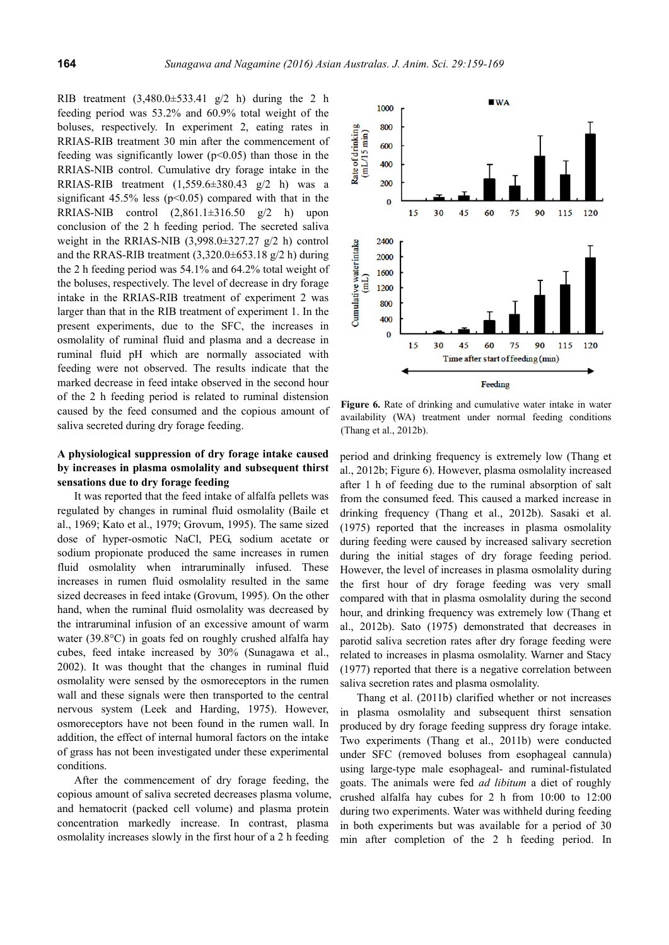RIB treatment  $(3,480.0 \pm 533.41 \text{ g}/2 \text{ h})$  during the 2 h feeding period was 53.2% and 60.9% total weight of the boluses, respectively. In experiment 2, eating rates in RRIAS-RIB treatment 30 min after the commencement of feeding was significantly lower  $(p<0.05)$  than those in the RRIAS-NIB control. Cumulative dry forage intake in the RRIAS-RIB treatment (1,559.6±380.43 g/2 h) was a significant  $45.5\%$  less ( $p<0.05$ ) compared with that in the RRIAS-NIB control  $(2,861.1\pm316.50 \text{ g}/2 \text{ h})$  upon conclusion of the 2 h feeding period. The secreted saliva weight in the RRIAS-NIB  $(3,998.0\pm 327.27 \text{ g}/2 \text{ h})$  control and the RRAS-RIB treatment  $(3.320.0 \pm 653.18 \text{ g}/2 \text{ h})$  during the 2 h feeding period was 54.1% and 64.2% total weight of the boluses, respectively. The level of decrease in dry forage intake in the RRIAS-RIB treatment of experiment 2 was larger than that in the RIB treatment of experiment 1. In the present experiments, due to the SFC, the increases in osmolality of ruminal fluid and plasma and a decrease in ruminal fluid pH which are normally associated with feeding were not observed. The results indicate that the marked decrease in feed intake observed in the second hour of the 2 h feeding period is related to ruminal distension caused by the feed consumed and the copious amount of saliva secreted during dry forage feeding.

# **A physiological suppression of dry forage intake caused by increases in plasma osmolality and subsequent thirst sensations due to dry forage feeding**

It was reported that the feed intake of alfalfa pellets was regulated by changes in ruminal fluid osmolality (Baile et al., 1969; Kato et al., 1979; Grovum, 1995). The same sized dose of hyper-osmotic NaCl, PEG, sodium acetate or sodium propionate produced the same increases in rumen fluid osmolality when intraruminally infused. These increases in rumen fluid osmolality resulted in the same sized decreases in feed intake (Grovum, 1995). On the other hand, when the ruminal fluid osmolality was decreased by the intraruminal infusion of an excessive amount of warm water (39.8°C) in goats fed on roughly crushed alfalfa hay cubes, feed intake increased by 30% (Sunagawa et al., 2002). It was thought that the changes in ruminal fluid osmolality were sensed by the osmoreceptors in the rumen wall and these signals were then transported to the central nervous system (Leek and Harding, 1975). However, osmoreceptors have not been found in the rumen wall. In addition, the effect of internal humoral factors on the intake of grass has not been investigated under these experimental conditions.

After the commencement of dry forage feeding, the copious amount of saliva secreted decreases plasma volume, and hematocrit (packed cell volume) and plasma protein concentration markedly increase. In contrast, plasma osmolality increases slowly in the first hour of a 2 h feeding



**Figure 6.** Rate of drinking and cumulative water intake in water availability (WA) treatment under normal feeding conditions (Thang et al., 2012b).

period and drinking frequency is extremely low (Thang et al., 2012b; Figure 6). However, plasma osmolality increased after 1 h of feeding due to the ruminal absorption of salt from the consumed feed. This caused a marked increase in drinking frequency (Thang et al., 2012b). Sasaki et al. (1975) reported that the increases in plasma osmolality during feeding were caused by increased salivary secretion during the initial stages of dry forage feeding period. However, the level of increases in plasma osmolality during the first hour of dry forage feeding was very small compared with that in plasma osmolality during the second hour, and drinking frequency was extremely low (Thang et al., 2012b). Sato (1975) demonstrated that decreases in parotid saliva secretion rates after dry forage feeding were related to increases in plasma osmolality. Warner and Stacy (1977) reported that there is a negative correlation between saliva secretion rates and plasma osmolality.

Thang et al. (2011b) clarified whether or not increases in plasma osmolality and subsequent thirst sensation produced by dry forage feeding suppress dry forage intake. Two experiments (Thang et al., 2011b) were conducted under SFC (removed boluses from esophageal cannula) using large-type male esophageal- and ruminal-fistulated goats. The animals were fed *ad libitum* a diet of roughly crushed alfalfa hay cubes for 2 h from 10:00 to 12:00 during two experiments. Water was withheld during feeding in both experiments but was available for a period of 30 min after completion of the 2 h feeding period. In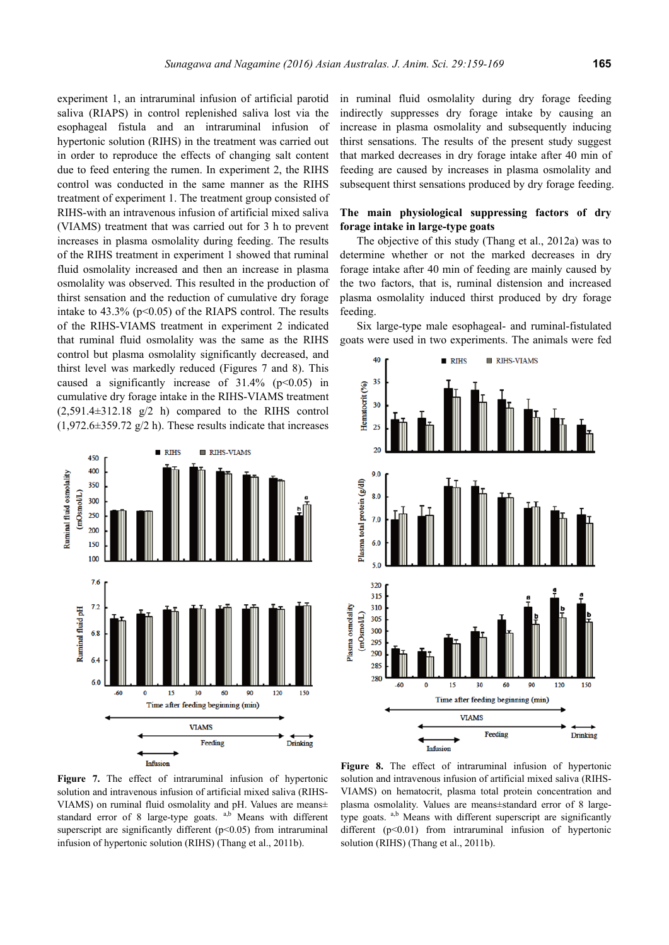experiment 1, an intraruminal infusion of artificial parotid saliva (RIAPS) in control replenished saliva lost via the esophageal fistula and an intraruminal infusion of hypertonic solution (RIHS) in the treatment was carried out in order to reproduce the effects of changing salt content due to feed entering the rumen. In experiment 2, the RIHS control was conducted in the same manner as the RIHS treatment of experiment 1. The treatment group consisted of RIHS-with an intravenous infusion of artificial mixed saliva (VIAMS) treatment that was carried out for 3 h to prevent increases in plasma osmolality during feeding. The results of the RIHS treatment in experiment 1 showed that ruminal fluid osmolality increased and then an increase in plasma osmolality was observed. This resulted in the production of thirst sensation and the reduction of cumulative dry forage intake to  $43.3\%$  ( $p<0.05$ ) of the RIAPS control. The results of the RIHS-VIAMS treatment in experiment 2 indicated that ruminal fluid osmolality was the same as the RIHS control but plasma osmolality significantly decreased, and thirst level was markedly reduced (Figures 7 and 8). This caused a significantly increase of  $31.4\%$  (p<0.05) in cumulative dry forage intake in the RIHS-VIAMS treatment  $(2,591.4\pm312.18 \text{ g}/2 \text{ h})$  compared to the RIHS control  $(1,972.6\pm359.72 \text{ g}/2 \text{ h})$ . These results indicate that increases



in ruminal fluid osmolality during dry forage feeding indirectly suppresses dry forage intake by causing an increase in plasma osmolality and subsequently inducing thirst sensations. The results of the present study suggest that marked decreases in dry forage intake after 40 min of feeding are caused by increases in plasma osmolality and subsequent thirst sensations produced by dry forage feeding.

## **The main physiological suppressing factors of dry forage intake in large-type goats**

The objective of this study (Thang et al., 2012a) was to determine whether or not the marked decreases in dry forage intake after 40 min of feeding are mainly caused by the two factors, that is, ruminal distension and increased plasma osmolality induced thirst produced by dry forage feeding.

Six large-type male esophageal- and ruminal-fistulated goats were used in two experiments. The animals were fed



Figure 7. The effect of intraruminal infusion of hypertonic solution and intravenous infusion of artificial mixed saliva (RIHS-VIAMS) on ruminal fluid osmolality and pH. Values are means± standard error of 8 large-type goats. <sup>a,b</sup> Means with different superscript are significantly different  $(p<0.05)$  from intraruminal infusion of hypertonic solution (RIHS) (Thang et al., 2011b).

**Figure 8.** The effect of intraruminal infusion of hypertonic solution and intravenous infusion of artificial mixed saliva (RIHS-VIAMS) on hematocrit, plasma total protein concentration and plasma osmolality. Values are means±standard error of 8 largetype goats. <sup>a,b</sup> Means with different superscript are significantly different  $(p<0.01)$  from intraruminal infusion of hypertonic solution (RIHS) (Thang et al., 2011b).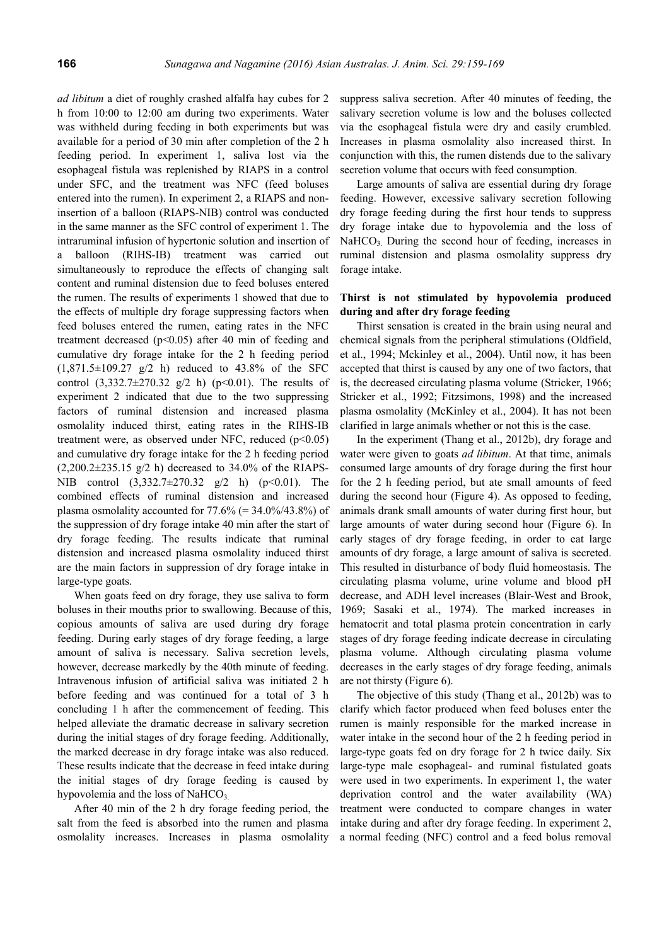*ad libitum* a diet of roughly crashed alfalfa hay cubes for 2 h from 10:00 to 12:00 am during two experiments. Water was withheld during feeding in both experiments but was available for a period of 30 min after completion of the 2 h feeding period. In experiment 1, saliva lost via the esophageal fistula was replenished by RIAPS in a control under SFC, and the treatment was NFC (feed boluses entered into the rumen). In experiment 2, a RIAPS and noninsertion of a balloon (RIAPS-NIB) control was conducted in the same manner as the SFC control of experiment 1. The intraruminal infusion of hypertonic solution and insertion of a balloon (RIHS-IB) treatment was carried out simultaneously to reproduce the effects of changing salt content and ruminal distension due to feed boluses entered the rumen. The results of experiments 1 showed that due to the effects of multiple dry forage suppressing factors when feed boluses entered the rumen, eating rates in the NFC treatment decreased  $(p<0.05)$  after 40 min of feeding and cumulative dry forage intake for the 2 h feeding period  $(1,871.5\pm109.27)$  g/2 h) reduced to 43.8% of the SFC control  $(3,332.7 \pm 270.32 \text{ g}/2 \text{ h})$  (p<0.01). The results of experiment 2 indicated that due to the two suppressing factors of ruminal distension and increased plasma osmolality induced thirst, eating rates in the RIHS-IB treatment were, as observed under NFC, reduced  $(p<0.05)$ and cumulative dry forage intake for the 2 h feeding period  $(2,200.2\pm 235.15 \text{ g}/2 \text{ h})$  decreased to 34.0% of the RIAPS-NIB control  $(3,332.7 \pm 270.32 \text{ g}/2 \text{ h})$  (p<0.01). The combined effects of ruminal distension and increased plasma osmolality accounted for  $77.6\%$  (= 34.0%/43.8%) of the suppression of dry forage intake 40 min after the start of dry forage feeding. The results indicate that ruminal distension and increased plasma osmolality induced thirst are the main factors in suppression of dry forage intake in large-type goats.

When goats feed on dry forage, they use saliva to form boluses in their mouths prior to swallowing. Because of this, copious amounts of saliva are used during dry forage feeding. During early stages of dry forage feeding, a large amount of saliva is necessary. Saliva secretion levels, however, decrease markedly by the 40th minute of feeding. Intravenous infusion of artificial saliva was initiated 2 h before feeding and was continued for a total of 3 h concluding 1 h after the commencement of feeding. This helped alleviate the dramatic decrease in salivary secretion during the initial stages of dry forage feeding. Additionally, the marked decrease in dry forage intake was also reduced. These results indicate that the decrease in feed intake during the initial stages of dry forage feeding is caused by hypovolemia and the loss of NaHCO<sub>3</sub>.

After 40 min of the 2 h dry forage feeding period, the salt from the feed is absorbed into the rumen and plasma osmolality increases. Increases in plasma osmolality suppress saliva secretion. After 40 minutes of feeding, the salivary secretion volume is low and the boluses collected via the esophageal fistula were dry and easily crumbled. Increases in plasma osmolality also increased thirst. In conjunction with this, the rumen distends due to the salivary secretion volume that occurs with feed consumption.

Large amounts of saliva are essential during dry forage feeding. However, excessive salivary secretion following dry forage feeding during the first hour tends to suppress dry forage intake due to hypovolemia and the loss of  $NaHCO<sub>3</sub>$  During the second hour of feeding, increases in ruminal distension and plasma osmolality suppress dry forage intake.

## **Thirst is not stimulated by hypovolemia produced during and after dry forage feeding**

Thirst sensation is created in the brain using neural and chemical signals from the peripheral stimulations (Oldfield, et al., 1994; Mckinley et al., 2004). Until now, it has been accepted that thirst is caused by any one of two factors, that is, the decreased circulating plasma volume (Stricker, 1966; Stricker et al., 1992; Fitzsimons, 1998) and the increased plasma osmolality (McKinley et al., 2004). It has not been clarified in large animals whether or not this is the case.

In the experiment (Thang et al., 2012b), dry forage and water were given to goats *ad libitum*. At that time, animals consumed large amounts of dry forage during the first hour for the 2 h feeding period, but ate small amounts of feed during the second hour (Figure 4). As opposed to feeding, animals drank small amounts of water during first hour, but large amounts of water during second hour (Figure 6). In early stages of dry forage feeding, in order to eat large amounts of dry forage, a large amount of saliva is secreted. This resulted in disturbance of body fluid homeostasis. The circulating plasma volume, urine volume and blood pH decrease, and ADH level increases (Blair-West and Brook, 1969; Sasaki et al., 1974). The marked increases in hematocrit and total plasma protein concentration in early stages of dry forage feeding indicate decrease in circulating plasma volume. Although circulating plasma volume decreases in the early stages of dry forage feeding, animals are not thirsty (Figure 6).

The objective of this study (Thang et al., 2012b) was to clarify which factor produced when feed boluses enter the rumen is mainly responsible for the marked increase in water intake in the second hour of the 2 h feeding period in large-type goats fed on dry forage for 2 h twice daily. Six large-type male esophageal- and ruminal fistulated goats were used in two experiments. In experiment 1, the water deprivation control and the water availability (WA) treatment were conducted to compare changes in water intake during and after dry forage feeding. In experiment 2, a normal feeding (NFC) control and a feed bolus removal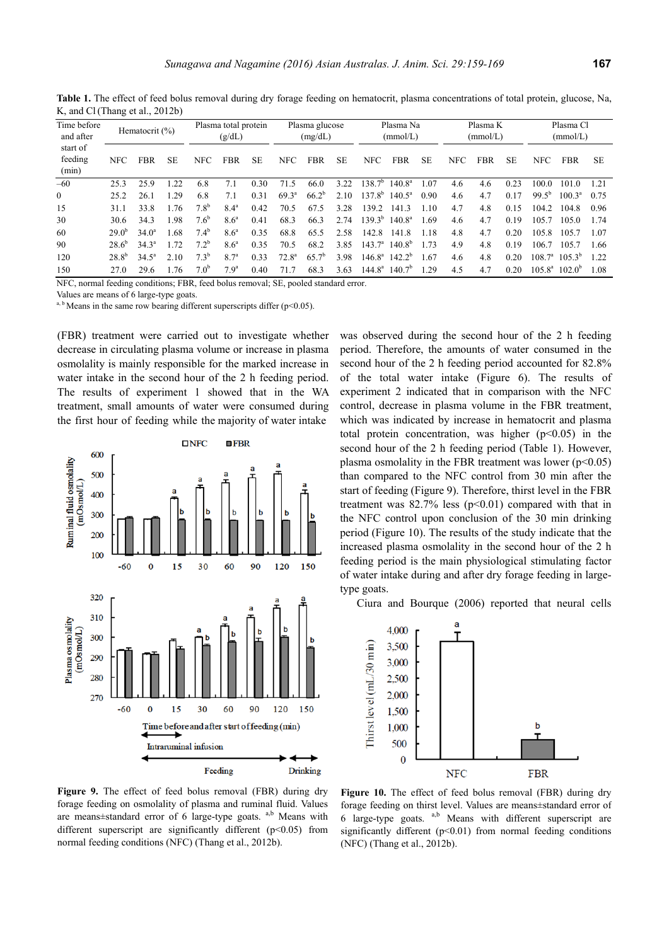| Time before<br>and after<br>start of<br>feeding<br>(min) | Hematocrit (%) |                |           | Plasma total protein<br>(g/dL) |                  |      | Plasma glucose<br>(mg/dL) |            |           | Plasma Na<br>(mmol/L) |                    |           | Plasma K<br>(mmol/L) |            |      | Plasma Cl<br>(mmol/L) |                 |           |
|----------------------------------------------------------|----------------|----------------|-----------|--------------------------------|------------------|------|---------------------------|------------|-----------|-----------------------|--------------------|-----------|----------------------|------------|------|-----------------------|-----------------|-----------|
|                                                          | <b>NFC</b>     | <b>FBR</b>     | <b>SE</b> | <b>NFC</b>                     | <b>FBR</b>       | SE   | <b>NFC</b>                | <b>FBR</b> | <b>SE</b> | <b>NFC</b>            | <b>FBR</b>         | <b>SE</b> | <b>NFC</b>           | <b>FBR</b> | SE.  | <b>NFC</b>            | <b>FBR</b>      | <b>SE</b> |
| $-60$                                                    | 25.3           | 25.9           | 22        | 6.8                            | 7.1              | 0.30 | 71.5                      | 66.0       | 3.22      | $138.7^{b}$           | $140.8^{\circ}$    | 1.07      | 4.6                  | 4.6        | 0.23 | 100.0                 | 101.0           | 1 21      |
| $\mathbf{0}$                                             | 25.2           | 26.1           | 1.29      | 6.8                            | 7.1              | 0.31 | $69.3^{\circ}$            | $66.2^{b}$ | 2.10      | $137.8^{b}$           | $140.5^{\circ}$    | 0.90      | 4.6                  | 4.7        | 0.17 | $99.5^{b}$            | $100.3^{\circ}$ | 0.75      |
| 15                                                       | 31.1           | 33.8           | .76       | 7.8 <sup>b</sup>               | 8.4 <sup>a</sup> | 0.42 | 70.5                      | 67.5       | 3.28      | 139.2                 | 141.3              | 1.10      | 4.7                  | 4.8        | 0.15 | 104.2                 | 104.8           | 0.96      |
| 30                                                       | 30.6           | 34.3           | 1.98      | 7.6 <sup>b</sup>               | 8.6 <sup>a</sup> | 0.41 | 68.3                      | 66.3       | 2.74      | $139.3^{b}$           | 140.8 <sup>a</sup> | 1.69      | 4.6                  | 4.7        | 0.19 | 105.7                 | 105.0           | 1.74      |
| 60                                                       | $290^{\circ}$  | $34.0^{\circ}$ | .68       | $7.4^b$                        | 8.6 <sup>a</sup> | 0.35 | 68.8                      | 65.5       | 2.58      | 142.8                 | 141.8              | 1.18      | 4.8                  | 4.7        | 0.20 | 105.8                 | 105.7           | 1.07      |
| 90                                                       | $28.6^{\circ}$ | $34.3^{\circ}$ | 72        | $7.2^b$                        | 8.6 <sup>a</sup> | 0.35 | 70.5                      | 68.2       | 3.85      | $143.7^{\circ}$       | $140.8^{b}$        | 1.73      | 4.9                  | 4.8        | 0.19 | 106.7                 | 105.7           | 1.66      |
| 120                                                      | $28.8^{b}$     | $34.5^{\circ}$ | 2.10      | $7.3^{b}$                      | 8.7 <sup>a</sup> | 0.33 | $72.8^{\rm a}$            | $65.7^b$   | 3.98      | $146.8^{\rm a}$       | $142.2^b$          | 1.67      | 4.6                  | 4.8        | 0.20 | 108.7 <sup>a</sup>    | $105.3^{b}$     | 1 22.     |
| 150                                                      | 27.0           | 29.6           | .76       | 7.0 <sup>b</sup>               | 7.9 <sup>a</sup> | 0.40 | 71.7                      | 68.3       | 3.63      | $144.8^{\circ}$       | 140.7 <sup>b</sup> | 1.29      | 4.5                  | 4.7        | 0.20 | $105.8^{\circ}$       | $102.0^{\circ}$ | 1.08      |

Table 1. The effect of feed bolus removal during dry forage feeding on hematocrit, plasma concentrations of total protein, glucose, Na, K, and Cl (Thang et al., 2012b)

NFC, normal feeding conditions; FBR, feed bolus removal; SE, pooled standard error.

Values are means of 6 large-type goats.

<sup>a, b</sup> Means in the same row bearing different superscripts differ ( $p$  < 0.05).

(FBR) treatment were carried out to investigate whether decrease in circulating plasma volume or increase in plasma osmolality is mainly responsible for the marked increase in water intake in the second hour of the 2 h feeding period. The results of experiment 1 showed that in the WA treatment, small amounts of water were consumed during the first hour of feeding while the majority of water intake



**Figure 9.** The effect of feed bolus removal (FBR) during dry forage feeding on osmolality of plasma and ruminal fluid. Values are means±standard error of 6 large-type goats. <sup>a,b</sup> Means with different superscript are significantly different (p<0.05) from normal feeding conditions (NFC) (Thang et al., 2012b).

was observed during the second hour of the 2 h feeding period. Therefore, the amounts of water consumed in the second hour of the 2 h feeding period accounted for 82.8% of the total water intake (Figure 6). The results of experiment 2 indicated that in comparison with the NFC control, decrease in plasma volume in the FBR treatment, which was indicated by increase in hematocrit and plasma total protein concentration, was higher  $(p<0.05)$  in the second hour of the 2 h feeding period (Table 1). However, plasma osmolality in the FBR treatment was lower ( $p<0.05$ ) than compared to the NFC control from 30 min after the start of feeding (Figure 9). Therefore, thirst level in the FBR treatment was  $82.7\%$  less ( $p<0.01$ ) compared with that in the NFC control upon conclusion of the 30 min drinking period (Figure 10). The results of the study indicate that the increased plasma osmolality in the second hour of the 2 h feeding period is the main physiological stimulating factor of water intake during and after dry forage feeding in largetype goats.

Ciura and Bourque (2006) reported that neural cells



**Figure 10.** The effect of feed bolus removal (FBR) during dry forage feeding on thirst level. Values are means±standard error of 6 large-type goats.  $a,b$  Means with different superscript are significantly different (p<0.01) from normal feeding conditions (NFC) (Thang et al., 2012b).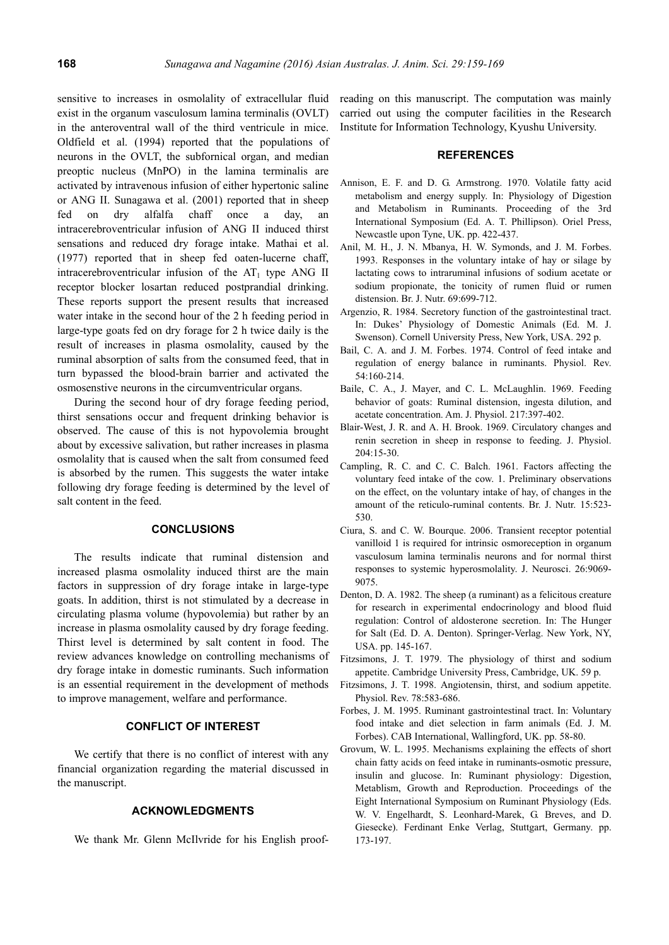sensitive to increases in osmolality of extracellular fluid exist in the organum vasculosum lamina terminalis (OVLT) in the anteroventral wall of the third ventricule in mice. Oldfield et al. (1994) reported that the populations of neurons in the OVLT, the subfornical organ, and median preoptic nucleus (MnPO) in the lamina terminalis are activated by intravenous infusion of either hypertonic saline or ANG II. Sunagawa et al. (2001) reported that in sheep fed on dry alfalfa chaff once a day, an intracerebroventricular infusion of ANG II induced thirst sensations and reduced dry forage intake. Mathai et al. (1977) reported that in sheep fed oaten-lucerne chaff, intracerebroventricular infusion of the  $AT<sub>1</sub>$  type ANG II receptor blocker losartan reduced postprandial drinking. These reports support the present results that increased water intake in the second hour of the 2 h feeding period in large-type goats fed on dry forage for 2 h twice daily is the result of increases in plasma osmolality, caused by the ruminal absorption of salts from the consumed feed, that in turn bypassed the blood-brain barrier and activated the osmosenstive neurons in the circumventricular organs.

During the second hour of dry forage feeding period, thirst sensations occur and frequent drinking behavior is observed. The cause of this is not hypovolemia brought about by excessive salivation, but rather increases in plasma osmolality that is caused when the salt from consumed feed is absorbed by the rumen. This suggests the water intake following dry forage feeding is determined by the level of salt content in the feed.

#### **CONCLUSIONS**

The results indicate that ruminal distension and increased plasma osmolality induced thirst are the main factors in suppression of dry forage intake in large-type goats. In addition, thirst is not stimulated by a decrease in circulating plasma volume (hypovolemia) but rather by an increase in plasma osmolality caused by dry forage feeding. Thirst level is determined by salt content in food. The review advances knowledge on controlling mechanisms of dry forage intake in domestic ruminants. Such information is an essential requirement in the development of methods to improve management, welfare and performance.

## **CONFLICT OF INTEREST**

We certify that there is no conflict of interest with any financial organization regarding the material discussed in the manuscript.

#### **ACKNOWLEDGMENTS**

We thank Mr. Glenn McIlvride for his English proof-

reading on this manuscript. The computation was mainly carried out using the computer facilities in the Research Institute for Information Technology, Kyushu University.

#### **REFERENCES**

- Annison, E. F. and D. G. Armstrong. 1970. Volatile fatty acid metabolism and energy supply. In: Physiology of Digestion and Metabolism in Ruminants. Proceeding of the 3rd International Symposium (Ed. A. T. Phillipson). Oriel Press, Newcastle upon Tyne, UK. pp. 422-437.
- Anil, M. H., J. N. Mbanya, H. W. Symonds, and J. M. Forbes. 1993. Responses in the voluntary intake of hay or silage by lactating cows to intraruminal infusions of sodium acetate or sodium propionate, the tonicity of rumen fluid or rumen distension. Br. J. Nutr. 69:699-712.
- Argenzio, R. 1984. Secretory function of the gastrointestinal tract. In: Dukes' Physiology of Domestic Animals (Ed. M. J. Swenson). Cornell University Press, New York, USA. 292 p.
- Bail, C. A. and J. M. Forbes. 1974. Control of feed intake and regulation of energy balance in ruminants. Physiol. Rev. 54:160-214.
- Baile, C. A., J. Mayer, and C. L. McLaughlin. 1969. Feeding behavior of goats: Ruminal distension, ingesta dilution, and acetate concentration. Am. J. Physiol. 217:397-402.
- Blair-West, J. R. and A. H. Brook. 1969. Circulatory changes and renin secretion in sheep in response to feeding. J. Physiol.  $204 \cdot 15 - 30$
- Campling, R. C. and C. C. Balch. 1961. Factors affecting the voluntary feed intake of the cow. 1. Preliminary observations on the effect, on the voluntary intake of hay, of changes in the amount of the reticulo-ruminal contents. Br. J. Nutr. 15:523- 530.
- Ciura, S. and C. W. Bourque. 2006. Transient receptor potential vanilloid 1 is required for intrinsic osmoreception in organum vasculosum lamina terminalis neurons and for normal thirst responses to systemic hyperosmolality. J. Neurosci. 26:9069- 9075.
- Denton, D. A. 1982. The sheep (a ruminant) as a felicitous creature for research in experimental endocrinology and blood fluid regulation: Control of aldosterone secretion. In: The Hunger for Salt (Ed. D. A. Denton). Springer-Verlag. New York, NY, USA. pp. 145-167.
- Fitzsimons, J. T. 1979. The physiology of thirst and sodium appetite. Cambridge University Press, Cambridge, UK. 59 p.
- Fitzsimons, J. T. 1998. Angiotensin, thirst, and sodium appetite. Physiol. Rev. 78:583-686.
- Forbes, J. M. 1995. Ruminant gastrointestinal tract. In: Voluntary food intake and diet selection in farm animals (Ed. J. M. Forbes). CAB International, Wallingford, UK. pp. 58-80.
- Grovum, W. L. 1995. Mechanisms explaining the effects of short chain fatty acids on feed intake in ruminants-osmotic pressure, insulin and glucose. In: Ruminant physiology: Digestion, Metablism, Growth and Reproduction. Proceedings of the Eight International Symposium on Ruminant Physiology (Eds. W. V. Engelhardt, S. Leonhard-Marek, G. Breves, and D. Giesecke). Ferdinant Enke Verlag, Stuttgart, Germany. pp. 173-197.